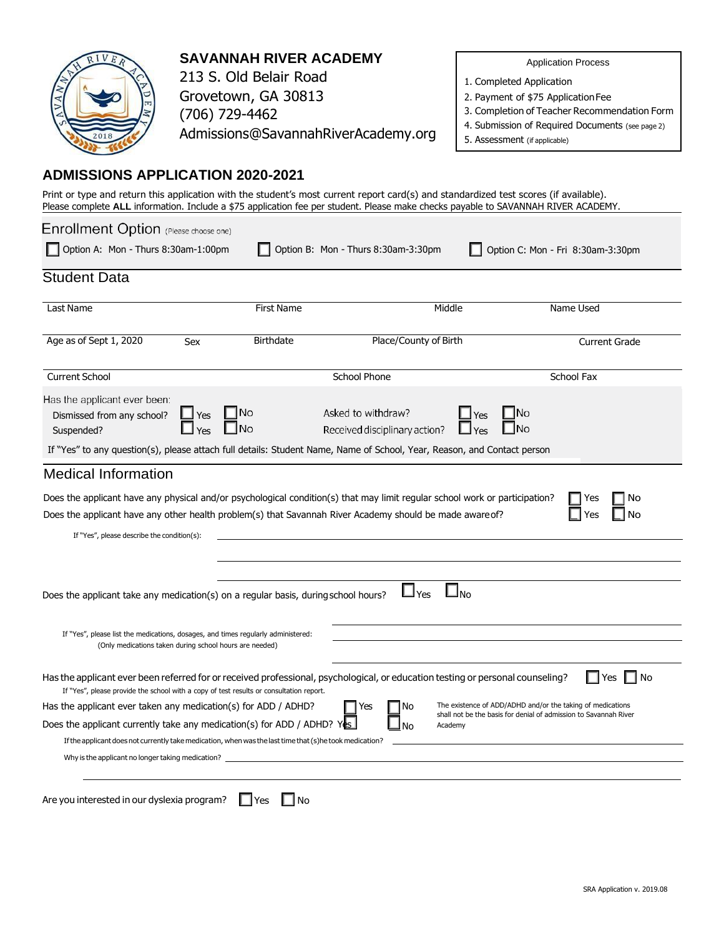

**SAVANNAH RIVER ACADEMY**

213 S. Old Belair Road Grovetown, GA 30813 (706) 729-4462 [Admissions@SavannahRiverAcademy.org](mailto:Admissions@SavannahRiverAcademy.org) Application Process

1. Completed Application

2. Payment of \$75 ApplicationFee

3. Completion of Teacher Recommendation Form

- 4. Submission of Required Documents (see page 2)
- 5. Assessment (if applicable)

## **ADMISSIONS APPLICATION 2020-2021**

Print or type and return this application with the student's most current report card(s) and standardized test scores (if available). Please complete **ALL** information. Include a \$75 application fee per student. Please make checks payable to SAVANNAH RIVER ACADEMY.

| Enrollment Option (Please choose one)                                                                                                                                                                                                                                                                                                                                                                |                   |                                   |                                                                                                                                                                                                                                         |                                                                                                                                                  |  |  |  |  |  |  |
|------------------------------------------------------------------------------------------------------------------------------------------------------------------------------------------------------------------------------------------------------------------------------------------------------------------------------------------------------------------------------------------------------|-------------------|-----------------------------------|-----------------------------------------------------------------------------------------------------------------------------------------------------------------------------------------------------------------------------------------|--------------------------------------------------------------------------------------------------------------------------------------------------|--|--|--|--|--|--|
| Option A: Mon - Thurs 8:30am-1:00pm<br>Option B: Mon - Thurs 8:30am-3:30pm<br>Option C: Mon - Fri 8:30am-3:30pm                                                                                                                                                                                                                                                                                      |                   |                                   |                                                                                                                                                                                                                                         |                                                                                                                                                  |  |  |  |  |  |  |
| <b>Student Data</b>                                                                                                                                                                                                                                                                                                                                                                                  |                   |                                   |                                                                                                                                                                                                                                         |                                                                                                                                                  |  |  |  |  |  |  |
| Last Name                                                                                                                                                                                                                                                                                                                                                                                            |                   | <b>First Name</b>                 | Middle                                                                                                                                                                                                                                  | Name Used                                                                                                                                        |  |  |  |  |  |  |
| Age as of Sept 1, 2020                                                                                                                                                                                                                                                                                                                                                                               | Sex               | <b>Birthdate</b>                  | Place/County of Birth<br><b>Current Grade</b>                                                                                                                                                                                           |                                                                                                                                                  |  |  |  |  |  |  |
| <b>Current School</b>                                                                                                                                                                                                                                                                                                                                                                                |                   | <b>School Phone</b><br>School Fax |                                                                                                                                                                                                                                         |                                                                                                                                                  |  |  |  |  |  |  |
| Has the applicant ever been:<br>Dismissed from any school?<br>Suspended?                                                                                                                                                                                                                                                                                                                             | $\Box$ Yes<br>Yes | l INo<br><b>No</b>                | Asked to withdraw?<br>Yes<br>Received disciplinary action?<br>If "Yes" to any question(s), please attach full details: Student Name, Name of School, Year, Reason, and Contact person                                                   | No<br>No                                                                                                                                         |  |  |  |  |  |  |
| <b>Medical Information</b>                                                                                                                                                                                                                                                                                                                                                                           |                   |                                   |                                                                                                                                                                                                                                         |                                                                                                                                                  |  |  |  |  |  |  |
| If "Yes", please describe the condition(s):                                                                                                                                                                                                                                                                                                                                                          |                   |                                   | Does the applicant have any physical and/or psychological condition(s) that may limit regular school work or participation?<br>Does the applicant have any other health problem(s) that Savannah River Academy should be made aware of? | No<br>Yes<br>No                                                                                                                                  |  |  |  |  |  |  |
| Does the applicant take any medication(s) on a regular basis, during school hours?                                                                                                                                                                                                                                                                                                                   |                   |                                   | $\square_{\sf No}$<br>$\Box$ Yes                                                                                                                                                                                                        |                                                                                                                                                  |  |  |  |  |  |  |
| If "Yes", please list the medications, dosages, and times regularly administered:<br>(Only medications taken during school hours are needed)                                                                                                                                                                                                                                                         |                   |                                   |                                                                                                                                                                                                                                         |                                                                                                                                                  |  |  |  |  |  |  |
| If "Yes", please provide the school with a copy of test results or consultation report.<br>Has the applicant ever taken any medication(s) for ADD / ADHD?<br>Does the applicant currently take any medication(s) for ADD / ADHD? Yes<br>If the applicant does not currently take medication, when was the last time that (s)he took medication?<br>Why is the applicant no longer taking medication? |                   |                                   | Has the applicant ever been referred for or received professional, psychological, or education testing or personal counseling?<br>No<br>Yes<br>Academy<br>No                                                                            | ∣ No<br>l IYes<br>The existence of ADD/ADHD and/or the taking of medications<br>shall not be the basis for denial of admission to Savannah River |  |  |  |  |  |  |
| Are you interested in our dyslexia program?                                                                                                                                                                                                                                                                                                                                                          |                   | <b>No</b><br>Yes                  |                                                                                                                                                                                                                                         |                                                                                                                                                  |  |  |  |  |  |  |